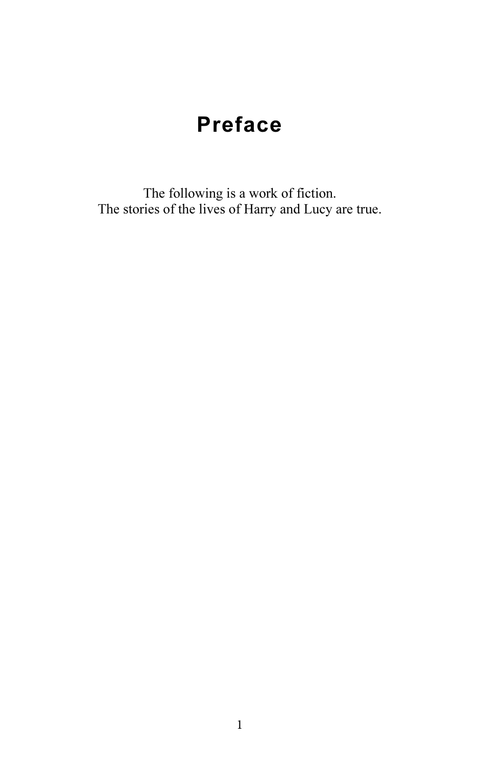### **Preface** Preface

The following is a work of fiction. The stories of the lives of Harry and Lucy are true.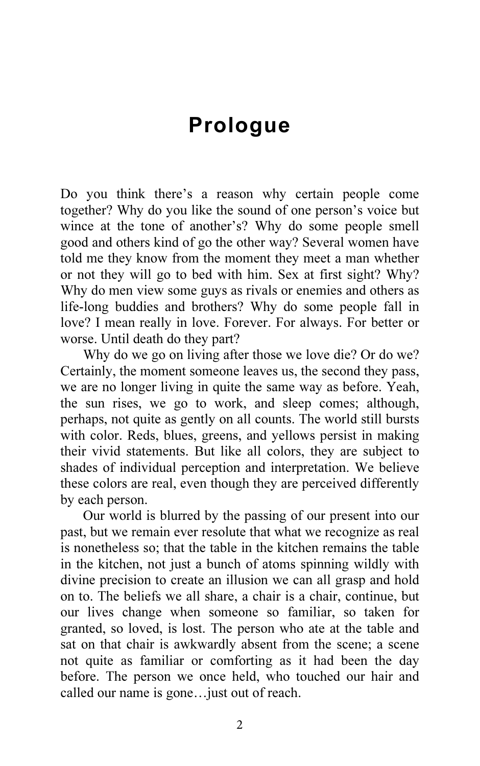### Prologue

Do you think there's a reason why certain people come together? Why do you like the sound of one person's voice but wince at the tone of another's? Why do some people smell good and others kind of go the other way? Several women have told me they know from the moment they meet a man whether or not they will go to bed with him. Sex at first sight? Why? Why do men view some guys as rivals or enemies and others as life-long buddies and brothers? Why do some people fall in love? I mean really in love. Forever. For always. For better or worse. Until death do they part?

Why do we go on living after those we love die? Or do we? Certainly, the moment someone leaves us, the second they pass, we are no longer living in quite the same way as before. Yeah, the sun rises, we go to work, and sleep comes; although, perhaps, not quite as gently on all counts. The world still bursts with color. Reds, blues, greens, and yellows persist in making their vivid statements. But like all colors, they are subject to shades of individual perception and interpretation. We believe these colors are real, even though they are perceived differently by each person.

Our world is blurred by the passing of our present into our past, but we remain ever resolute that what we recognize as real is nonetheless so; that the table in the kitchen remains the table in the kitchen, not just a bunch of atoms spinning wildly with divine precision to create an illusion we can all grasp and hold on to. The beliefs we all share, a chair is a chair, continue, but our lives change when someone so familiar, so taken for granted, so loved, is lost. The person who ate at the table and sat on that chair is awkwardly absent from the scene; a scene not quite as familiar or comforting as it had been the day before. The person we once held, who touched our hair and called our name is gone…just out of reach.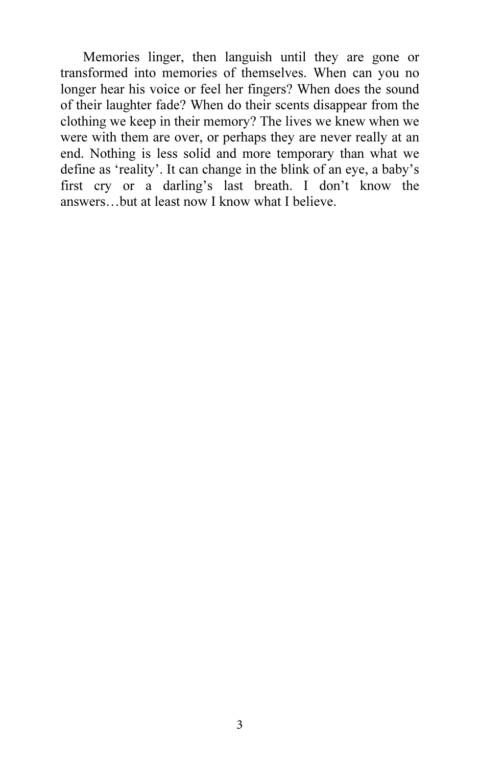Memories linger, then languish until they are gone or transformed into memories of themselves. When can you no longer hear his voice or feel her fingers? When does the sound of their laughter fade? When do their scents disappear from the clothing we keep in their memory? The lives we knew when we were with them are over, or perhaps they are never really at an end. Nothing is less solid and more temporary than what we define as 'reality'. It can change in the blink of an eye, a baby's first cry or a darling's last breath. I don't know the answers…but at least now I know what I believe.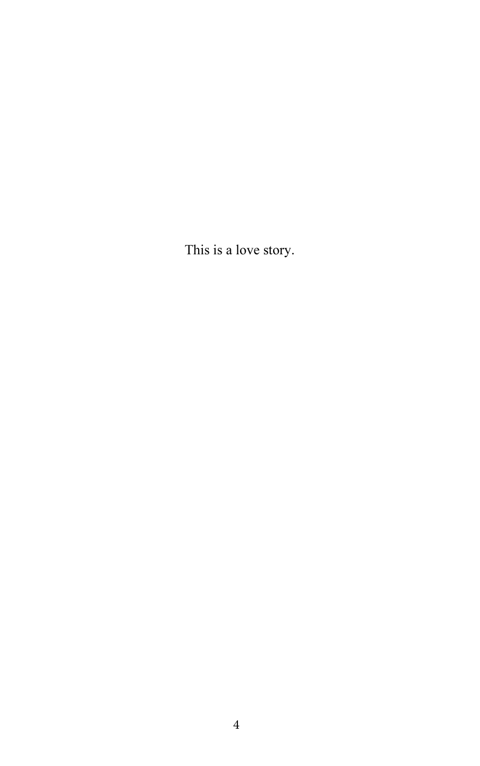This is a love story.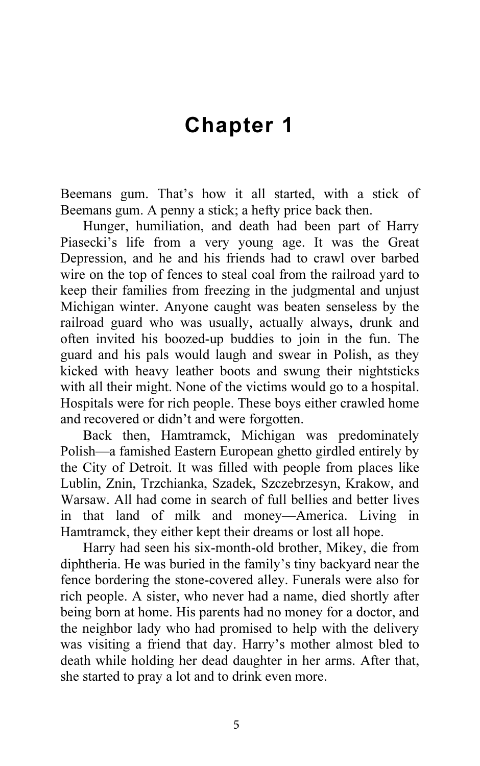# Chapter 1

Beemans gum. That's how it all started, with a stick of Beemans gum. A penny a stick; a hefty price back then.

Hunger, humiliation, and death had been part of Harry Piasecki's life from a very young age. It was the Great Depression, and he and his friends had to crawl over barbed wire on the top of fences to steal coal from the railroad yard to keep their families from freezing in the judgmental and unjust Michigan winter. Anyone caught was beaten senseless by the railroad guard who was usually, actually always, drunk and often invited his boozed-up buddies to join in the fun. The guard and his pals would laugh and swear in Polish, as they kicked with heavy leather boots and swung their nightsticks with all their might. None of the victims would go to a hospital. Hospitals were for rich people. These boys either crawled home and recovered or didn't and were forgotten.

Back then, Hamtramck, Michigan was predominately Polish—a famished Eastern European ghetto girdled entirely by the City of Detroit. It was filled with people from places like Lublin, Znin, Trzchianka, Szadek, Szczebrzesyn, Krakow, and Warsaw. All had come in search of full bellies and better lives in that land of milk and money—America. Living in Hamtramck, they either kept their dreams or lost all hope.

Harry had seen his six-month-old brother, Mikey, die from diphtheria. He was buried in the family's tiny backyard near the fence bordering the stone-covered alley. Funerals were also for rich people. A sister, who never had a name, died shortly after being born at home. His parents had no money for a doctor, and the neighbor lady who had promised to help with the delivery was visiting a friend that day. Harry's mother almost bled to death while holding her dead daughter in her arms. After that, she started to pray a lot and to drink even more.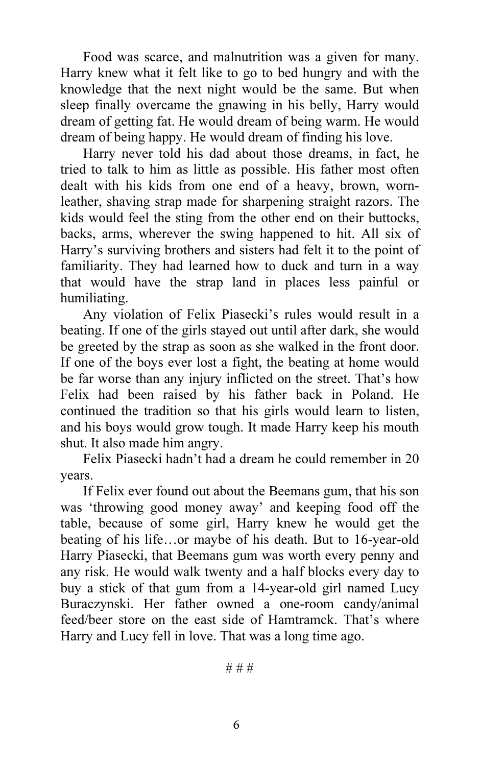Food was scarce, and malnutrition was a given for many. Harry knew what it felt like to go to bed hungry and with the knowledge that the next night would be the same. But when sleep finally overcame the gnawing in his belly, Harry would dream of getting fat. He would dream of being warm. He would dream of being happy. He would dream of finding his love.

Harry never told his dad about those dreams, in fact, he tried to talk to him as little as possible. His father most often dealt with his kids from one end of a heavy, brown, wornleather, shaving strap made for sharpening straight razors. The kids would feel the sting from the other end on their buttocks, backs, arms, wherever the swing happened to hit. All six of Harry's surviving brothers and sisters had felt it to the point of familiarity. They had learned how to duck and turn in a way that would have the strap land in places less painful or humiliating.

Any violation of Felix Piasecki's rules would result in a beating. If one of the girls stayed out until after dark, she would be greeted by the strap as soon as she walked in the front door. If one of the boys ever lost a fight, the beating at home would be far worse than any injury inflicted on the street. That's how Felix had been raised by his father back in Poland. He continued the tradition so that his girls would learn to listen, and his boys would grow tough. It made Harry keep his mouth shut. It also made him angry.

Felix Piasecki hadn't had a dream he could remember in 20 years.

If Felix ever found out about the Beemans gum, that his son was 'throwing good money away' and keeping food off the table, because of some girl, Harry knew he would get the beating of his life…or maybe of his death. But to 16-year-old Harry Piasecki, that Beemans gum was worth every penny and any risk. He would walk twenty and a half blocks every day to buy a stick of that gum from a 14-year-old girl named Lucy Buraczynski. Her father owned a one-room candy/animal feed/beer store on the east side of Hamtramck. That's where Harry and Lucy fell in love. That was a long time ago.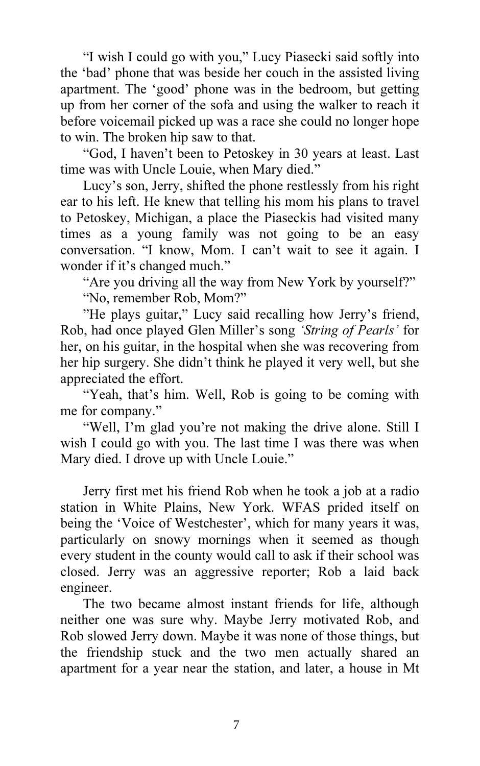"I wish I could go with you," Lucy Piasecki said softly into the 'bad' phone that was beside her couch in the assisted living apartment. The 'good' phone was in the bedroom, but getting up from her corner of the sofa and using the walker to reach it before voicemail picked up was a race she could no longer hope to win. The broken hip saw to that.

"God, I haven't been to Petoskey in 30 years at least. Last time was with Uncle Louie, when Mary died."

Lucy's son, Jerry, shifted the phone restlessly from his right ear to his left. He knew that telling his mom his plans to travel to Petoskey, Michigan, a place the Piaseckis had visited many times as a young family was not going to be an easy conversation. "I know, Mom. I can't wait to see it again. I wonder if it's changed much."

"Are you driving all the way from New York by yourself?" "No, remember Rob, Mom?"

"He plays guitar," Lucy said recalling how Jerry's friend, Rob, had once played Glen Miller's song 'String of Pearls' for her, on his guitar, in the hospital when she was recovering from her hip surgery. She didn't think he played it very well, but she appreciated the effort.

"Yeah, that's him. Well, Rob is going to be coming with me for company."

"Well, I'm glad you're not making the drive alone. Still I wish I could go with you. The last time I was there was when Mary died. I drove up with Uncle Louie."

Jerry first met his friend Rob when he took a job at a radio station in White Plains, New York. WFAS prided itself on being the 'Voice of Westchester', which for many years it was, particularly on snowy mornings when it seemed as though every student in the county would call to ask if their school was closed. Jerry was an aggressive reporter; Rob a laid back engineer.

The two became almost instant friends for life, although neither one was sure why. Maybe Jerry motivated Rob, and Rob slowed Jerry down. Maybe it was none of those things, but the friendship stuck and the two men actually shared an apartment for a year near the station, and later, a house in Mt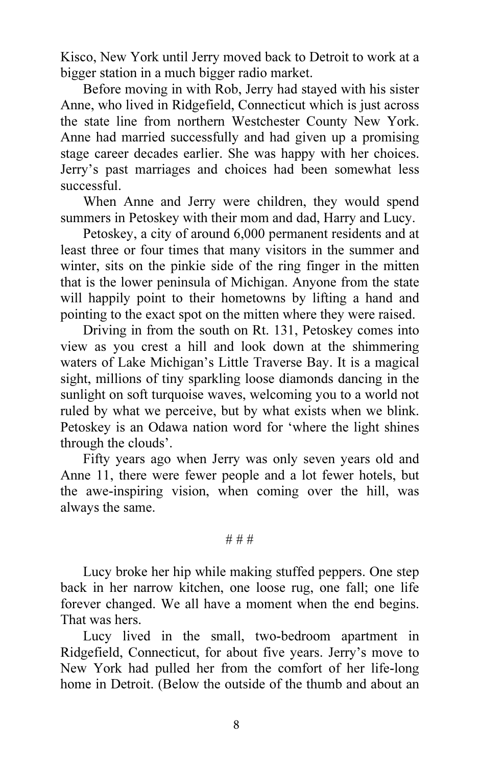Kisco, New York until Jerry moved back to Detroit to work at a bigger station in a much bigger radio market.

Before moving in with Rob, Jerry had stayed with his sister Anne, who lived in Ridgefield, Connecticut which is just across the state line from northern Westchester County New York. Anne had married successfully and had given up a promising stage career decades earlier. She was happy with her choices. Jerry's past marriages and choices had been somewhat less successful.

When Anne and Jerry were children, they would spend summers in Petoskey with their mom and dad, Harry and Lucy.

Petoskey, a city of around 6,000 permanent residents and at least three or four times that many visitors in the summer and winter, sits on the pinkie side of the ring finger in the mitten that is the lower peninsula of Michigan. Anyone from the state will happily point to their hometowns by lifting a hand and pointing to the exact spot on the mitten where they were raised.

Driving in from the south on Rt. 131, Petoskey comes into view as you crest a hill and look down at the shimmering waters of Lake Michigan's Little Traverse Bay. It is a magical sight, millions of tiny sparkling loose diamonds dancing in the sunlight on soft turquoise waves, welcoming you to a world not ruled by what we perceive, but by what exists when we blink. Petoskey is an Odawa nation word for 'where the light shines through the clouds'.

Fifty years ago when Jerry was only seven years old and Anne 11, there were fewer people and a lot fewer hotels, but the awe-inspiring vision, when coming over the hill, was always the same.

#### # # #

Lucy broke her hip while making stuffed peppers. One step back in her narrow kitchen, one loose rug, one fall; one life forever changed. We all have a moment when the end begins. That was hers.

Lucy lived in the small, two-bedroom apartment in Ridgefield, Connecticut, for about five years. Jerry's move to New York had pulled her from the comfort of her life-long home in Detroit. (Below the outside of the thumb and about an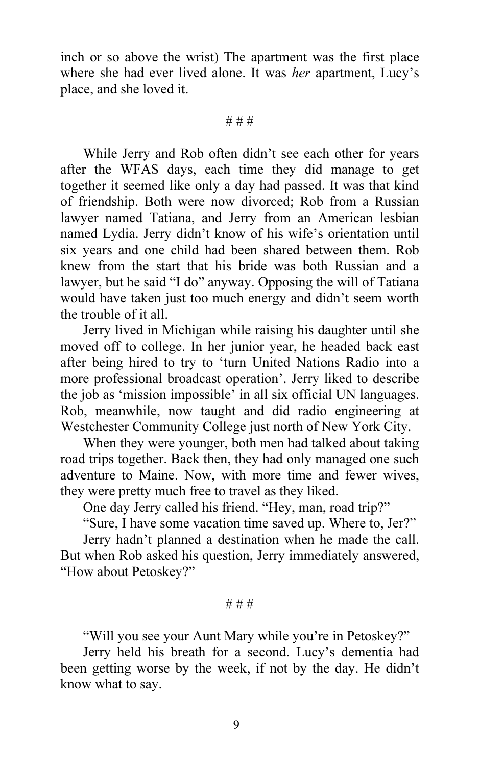inch or so above the wrist) The apartment was the first place where she had ever lived alone. It was her apartment, Lucy's place, and she loved it.

#### # # #

While Jerry and Rob often didn't see each other for years after the WFAS days, each time they did manage to get together it seemed like only a day had passed. It was that kind of friendship. Both were now divorced; Rob from a Russian lawyer named Tatiana, and Jerry from an American lesbian named Lydia. Jerry didn't know of his wife's orientation until six years and one child had been shared between them. Rob knew from the start that his bride was both Russian and a lawyer, but he said "I do" anyway. Opposing the will of Tatiana would have taken just too much energy and didn't seem worth the trouble of it all.

Jerry lived in Michigan while raising his daughter until she moved off to college. In her junior year, he headed back east after being hired to try to 'turn United Nations Radio into a more professional broadcast operation'. Jerry liked to describe the job as 'mission impossible' in all six official UN languages. Rob, meanwhile, now taught and did radio engineering at Westchester Community College just north of New York City.

When they were younger, both men had talked about taking road trips together. Back then, they had only managed one such adventure to Maine. Now, with more time and fewer wives, they were pretty much free to travel as they liked.

One day Jerry called his friend. "Hey, man, road trip?"

"Sure, I have some vacation time saved up. Where to, Jer?"

Jerry hadn't planned a destination when he made the call. But when Rob asked his question, Jerry immediately answered, "How about Petoskey?"

#### # # #

"Will you see your Aunt Mary while you're in Petoskey?"

Jerry held his breath for a second. Lucy's dementia had been getting worse by the week, if not by the day. He didn't know what to say.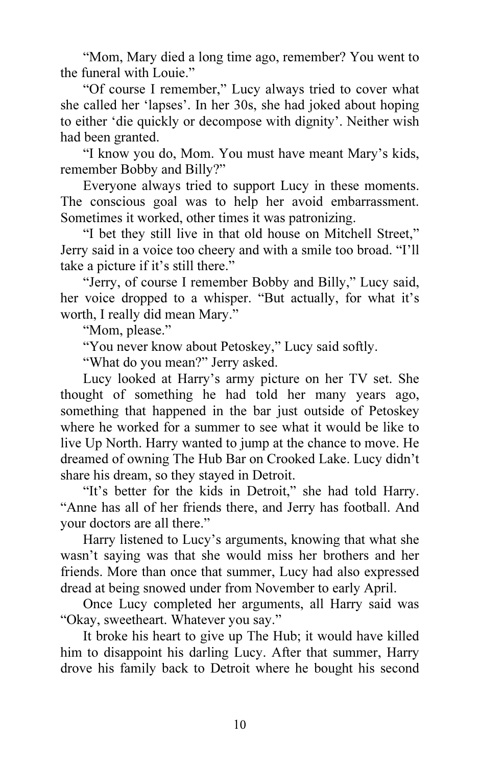"Mom, Mary died a long time ago, remember? You went to the funeral with Louie."

"Of course I remember," Lucy always tried to cover what she called her 'lapses'. In her 30s, she had joked about hoping to either 'die quickly or decompose with dignity'. Neither wish had been granted.

"I know you do, Mom. You must have meant Mary's kids, remember Bobby and Billy?"

Everyone always tried to support Lucy in these moments. The conscious goal was to help her avoid embarrassment. Sometimes it worked, other times it was patronizing.

"I bet they still live in that old house on Mitchell Street," Jerry said in a voice too cheery and with a smile too broad. "I'll take a picture if it's still there."

"Jerry, of course I remember Bobby and Billy," Lucy said, her voice dropped to a whisper. "But actually, for what it's worth, I really did mean Mary."

"Mom, please."

"You never know about Petoskey," Lucy said softly.

"What do you mean?" Jerry asked.

Lucy looked at Harry's army picture on her TV set. She thought of something he had told her many years ago, something that happened in the bar just outside of Petoskey where he worked for a summer to see what it would be like to live Up North. Harry wanted to jump at the chance to move. He dreamed of owning The Hub Bar on Crooked Lake. Lucy didn't share his dream, so they stayed in Detroit.

"It's better for the kids in Detroit," she had told Harry. "Anne has all of her friends there, and Jerry has football. And your doctors are all there."

Harry listened to Lucy's arguments, knowing that what she wasn't saying was that she would miss her brothers and her friends. More than once that summer, Lucy had also expressed dread at being snowed under from November to early April.

Once Lucy completed her arguments, all Harry said was "Okay, sweetheart. Whatever you say."

It broke his heart to give up The Hub; it would have killed him to disappoint his darling Lucy. After that summer, Harry drove his family back to Detroit where he bought his second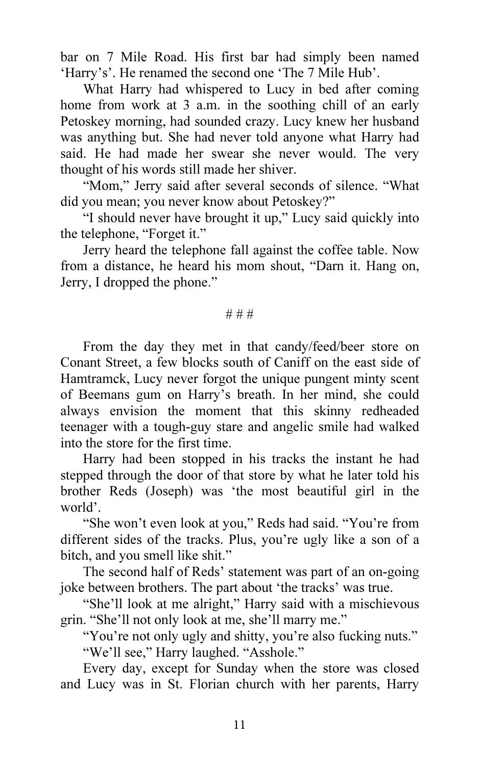bar on 7 Mile Road. His first bar had simply been named 'Harry's'. He renamed the second one 'The 7 Mile Hub'.

What Harry had whispered to Lucy in bed after coming home from work at 3 a.m. in the soothing chill of an early Petoskey morning, had sounded crazy. Lucy knew her husband was anything but. She had never told anyone what Harry had said. He had made her swear she never would. The very thought of his words still made her shiver.

"Mom," Jerry said after several seconds of silence. "What did you mean; you never know about Petoskey?"

"I should never have brought it up," Lucy said quickly into the telephone, "Forget it."

Jerry heard the telephone fall against the coffee table. Now from a distance, he heard his mom shout, "Darn it. Hang on, Jerry, I dropped the phone."

#### # # #

From the day they met in that candy/feed/beer store on Conant Street, a few blocks south of Caniff on the east side of Hamtramck, Lucy never forgot the unique pungent minty scent of Beemans gum on Harry's breath. In her mind, she could always envision the moment that this skinny redheaded teenager with a tough-guy stare and angelic smile had walked into the store for the first time.

Harry had been stopped in his tracks the instant he had stepped through the door of that store by what he later told his brother Reds (Joseph) was 'the most beautiful girl in the world'.

"She won't even look at you," Reds had said. "You're from different sides of the tracks. Plus, you're ugly like a son of a bitch, and you smell like shit."

The second half of Reds' statement was part of an on-going joke between brothers. The part about 'the tracks' was true.

"She'll look at me alright," Harry said with a mischievous grin. "She'll not only look at me, she'll marry me."

"You're not only ugly and shitty, you're also fucking nuts."

"We'll see," Harry laughed. "Asshole."

Every day, except for Sunday when the store was closed and Lucy was in St. Florian church with her parents, Harry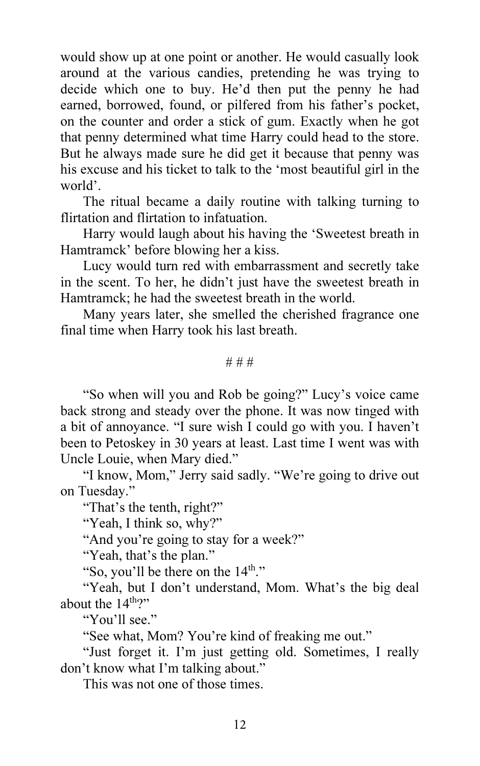would show up at one point or another. He would casually look around at the various candies, pretending he was trying to decide which one to buy. He'd then put the penny he had earned, borrowed, found, or pilfered from his father's pocket, on the counter and order a stick of gum. Exactly when he got that penny determined what time Harry could head to the store. But he always made sure he did get it because that penny was his excuse and his ticket to talk to the 'most beautiful girl in the world'.

The ritual became a daily routine with talking turning to flirtation and flirtation to infatuation.

Harry would laugh about his having the 'Sweetest breath in Hamtramck' before blowing her a kiss.

Lucy would turn red with embarrassment and secretly take in the scent. To her, he didn't just have the sweetest breath in Hamtramck; he had the sweetest breath in the world.

Many years later, she smelled the cherished fragrance one final time when Harry took his last breath.

#### # # #

"So when will you and Rob be going?" Lucy's voice came back strong and steady over the phone. It was now tinged with a bit of annoyance. "I sure wish I could go with you. I haven't been to Petoskey in 30 years at least. Last time I went was with Uncle Louie, when Mary died."

"I know, Mom," Jerry said sadly. "We're going to drive out on Tuesday."

"That's the tenth, right?"

"Yeah, I think so, why?"

"And you're going to stay for a week?"

"Yeah, that's the plan."

"So, you'll be there on the  $14<sup>th</sup>$ ."

"Yeah, but I don't understand, Mom. What's the big deal about the  $14<sup>th</sup>$ ?"

"You'll see."

"See what, Mom? You're kind of freaking me out."

"Just forget it. I'm just getting old. Sometimes, I really don't know what I'm talking about."

This was not one of those times.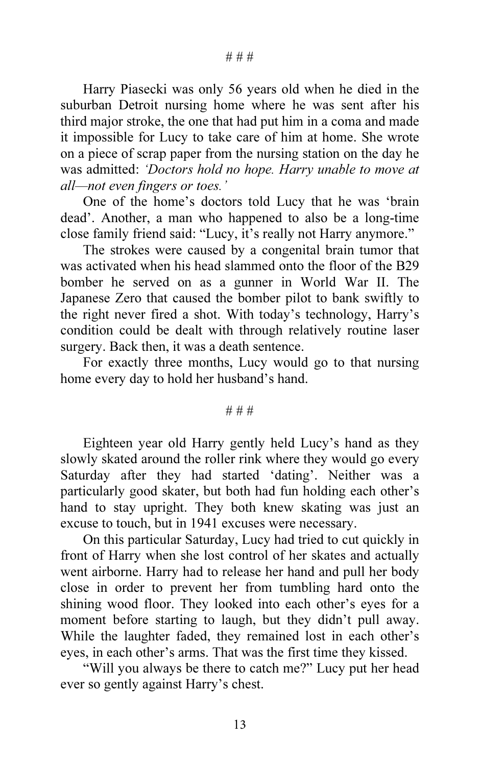# # #

Harry Piasecki was only 56 years old when he died in the suburban Detroit nursing home where he was sent after his third major stroke, the one that had put him in a coma and made it impossible for Lucy to take care of him at home. She wrote on a piece of scrap paper from the nursing station on the day he was admitted: 'Doctors hold no hope. Harry unable to move at all—not even fingers or toes.'

One of the home's doctors told Lucy that he was 'brain dead'. Another, a man who happened to also be a long-time close family friend said: "Lucy, it's really not Harry anymore."

The strokes were caused by a congenital brain tumor that was activated when his head slammed onto the floor of the B29 bomber he served on as a gunner in World War II. The Japanese Zero that caused the bomber pilot to bank swiftly to the right never fired a shot. With today's technology, Harry's condition could be dealt with through relatively routine laser surgery. Back then, it was a death sentence.

For exactly three months, Lucy would go to that nursing home every day to hold her husband's hand.

#### # # #

Eighteen year old Harry gently held Lucy's hand as they slowly skated around the roller rink where they would go every Saturday after they had started 'dating'. Neither was a particularly good skater, but both had fun holding each other's hand to stay upright. They both knew skating was just an excuse to touch, but in 1941 excuses were necessary.

On this particular Saturday, Lucy had tried to cut quickly in front of Harry when she lost control of her skates and actually went airborne. Harry had to release her hand and pull her body close in order to prevent her from tumbling hard onto the shining wood floor. They looked into each other's eyes for a moment before starting to laugh, but they didn't pull away. While the laughter faded, they remained lost in each other's eyes, in each other's arms. That was the first time they kissed.

"Will you always be there to catch me?" Lucy put her head ever so gently against Harry's chest.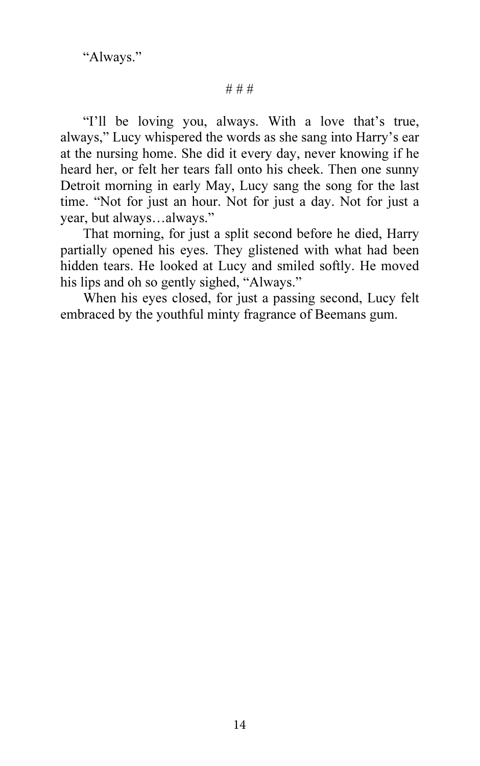#### # # #

"I'll be loving you, always. With a love that's true, always," Lucy whispered the words as she sang into Harry's ear at the nursing home. She did it every day, never knowing if he heard her, or felt her tears fall onto his cheek. Then one sunny Detroit morning in early May, Lucy sang the song for the last time. "Not for just an hour. Not for just a day. Not for just a year, but always…always."

That morning, for just a split second before he died, Harry partially opened his eyes. They glistened with what had been hidden tears. He looked at Lucy and smiled softly. He moved his lips and oh so gently sighed, "Always."

When his eyes closed, for just a passing second, Lucy felt embraced by the youthful minty fragrance of Beemans gum.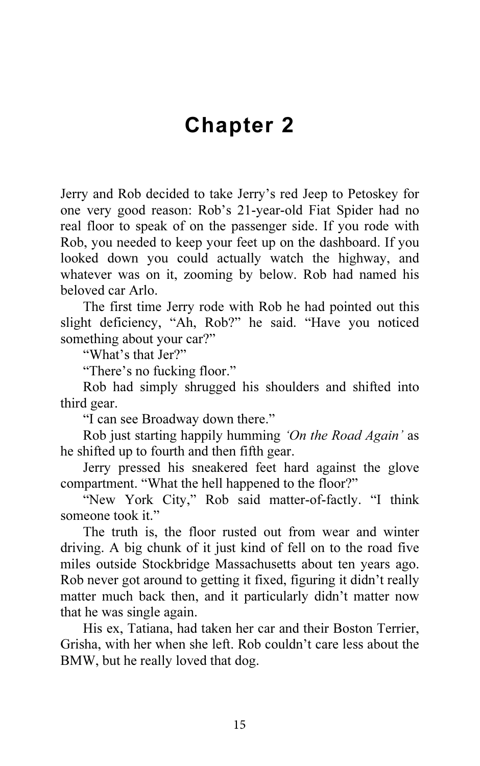## Chapter 2

Jerry and Rob decided to take Jerry's red Jeep to Petoskey for one very good reason: Rob's 21-year-old Fiat Spider had no real floor to speak of on the passenger side. If you rode with Rob, you needed to keep your feet up on the dashboard. If you looked down you could actually watch the highway, and whatever was on it, zooming by below. Rob had named his beloved car Arlo.

The first time Jerry rode with Rob he had pointed out this slight deficiency, "Ah, Rob?" he said. "Have you noticed something about your car?"

"What's that Jer?"

"There's no fucking floor."

Rob had simply shrugged his shoulders and shifted into third gear.

"I can see Broadway down there."

Rob just starting happily humming 'On the Road Again' as he shifted up to fourth and then fifth gear.

Jerry pressed his sneakered feet hard against the glove compartment. "What the hell happened to the floor?"

"New York City," Rob said matter-of-factly. "I think someone took it."

The truth is, the floor rusted out from wear and winter driving. A big chunk of it just kind of fell on to the road five miles outside Stockbridge Massachusetts about ten years ago. Rob never got around to getting it fixed, figuring it didn't really matter much back then, and it particularly didn't matter now that he was single again.

His ex, Tatiana, had taken her car and their Boston Terrier, Grisha, with her when she left. Rob couldn't care less about the BMW, but he really loved that dog.